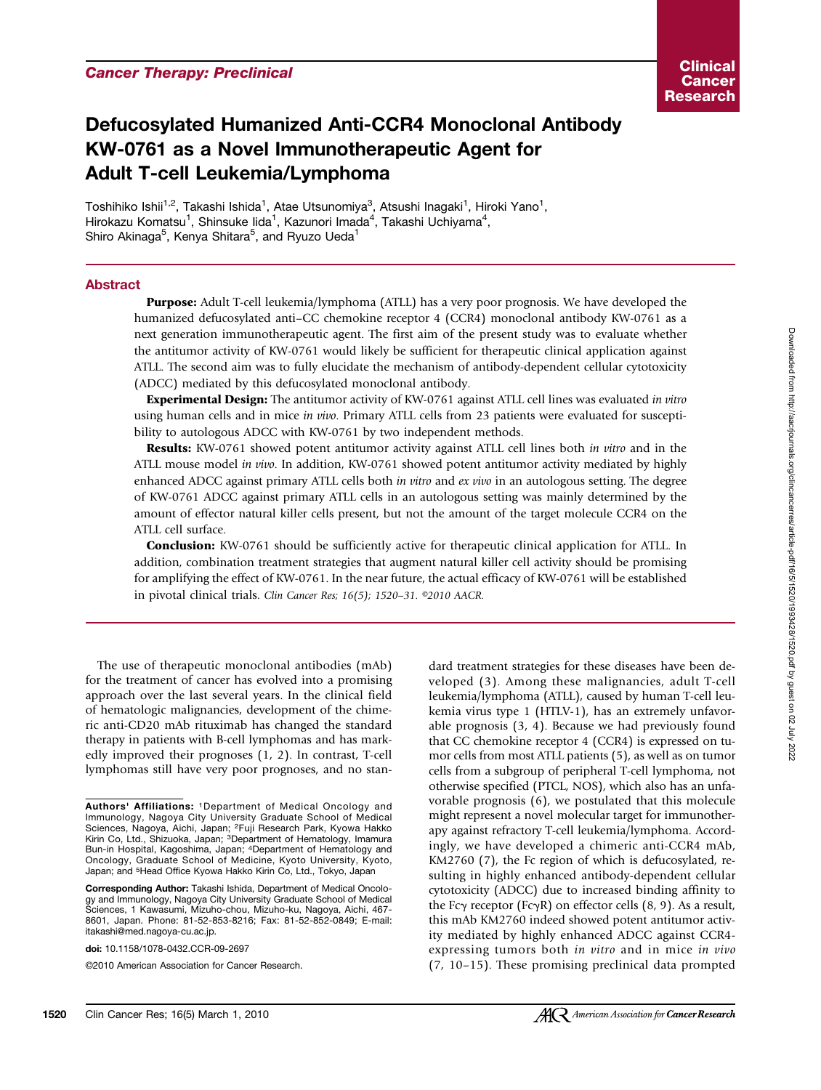# Defucosylated Humanized Anti-CCR4 Monoclonal Antibody KW-0761 as a Novel Immunotherapeutic Agent for Adult T-cell Leukemia/Lymphoma

Toshihiko Ishii $^{1,2}$ , Takashi Ishida $^1$ , Atae Utsunomiya $^3$ , Atsushi Inagaki $^1$ , Hiroki Yano $^1$ , Hirokazu Komatsu<sup>1</sup>, Shinsuke lida<sup>1</sup>, Kazunori Imada<sup>4</sup>, Takashi Uchiyama<sup>4</sup>, Shiro Akinaga<sup>5</sup>, Kenya Shitara<sup>5</sup>, and Ryuzo Ueda<sup>1</sup>

#### Abstract

Purpose: Adult T-cell leukemia/lymphoma (ATLL) has a very poor prognosis. We have developed the humanized defucosylated anti–CC chemokine receptor 4 (CCR4) monoclonal antibody KW-0761 as a next generation immunotherapeutic agent. The first aim of the present study was to evaluate whether the antitumor activity of KW-0761 would likely be sufficient for therapeutic clinical application against ATLL. The second aim was to fully elucidate the mechanism of antibody-dependent cellular cytotoxicity (ADCC) mediated by this defucosylated monoclonal antibody.

**Experimental Design:** The antitumor activity of KW-0761 against ATLL cell lines was evaluated in vitro using human cells and in mice in vivo. Primary ATLL cells from 23 patients were evaluated for susceptibility to autologous ADCC with KW-0761 by two independent methods.

Results: KW-0761 showed potent antitumor activity against ATLL cell lines both in vitro and in the ATLL mouse model in vivo. In addition, KW-0761 showed potent antitumor activity mediated by highly enhanced ADCC against primary ATLL cells both in vitro and ex vivo in an autologous setting. The degree of KW-0761 ADCC against primary ATLL cells in an autologous setting was mainly determined by the amount of effector natural killer cells present, but not the amount of the target molecule CCR4 on the ATLL cell surface.

**Conclusion:** KW-0761 should be sufficiently active for therapeutic clinical application for ATLL. In addition, combination treatment strategies that augment natural killer cell activity should be promising for amplifying the effect of KW-0761. In the near future, the actual efficacy of KW-0761 will be established in pivotal clinical trials. Clin Cancer Res; 16(5); 1520–31. ©2010 AACR.

The use of therapeutic monoclonal antibodies (mAb) for the treatment of cancer has evolved into a promising approach over the last several years. In the clinical field of hematologic malignancies, development of the chimeric anti-CD20 mAb rituximab has changed the standard therapy in patients with B-cell lymphomas and has markedly improved their prognoses (1, 2). In contrast, T-cell lymphomas still have very poor prognoses, and no stan-

doi: 10.1158/1078-0432.CCR-09-2697

©2010 American Association for Cancer Research.

dard treatment strategies for these diseases have been developed (3). Among these malignancies, adult T-cell leukemia/lymphoma (ATLL), caused by human T-cell leukemia virus type 1 (HTLV-1), has an extremely unfavorable prognosis (3, 4). Because we had previously found that CC chemokine receptor 4 (CCR4) is expressed on tumor cells from most ATLL patients (5), as well as on tumor cells from a subgroup of peripheral T-cell lymphoma, not otherwise specified (PTCL, NOS), which also has an unfavorable prognosis (6), we postulated that this molecule might represent a novel molecular target for immunotherapy against refractory T-cell leukemia/lymphoma. Accordingly, we have developed a chimeric anti-CCR4 mAb, KM2760 (7), the Fc region of which is defucosylated, resulting in highly enhanced antibody-dependent cellular cytotoxicity (ADCC) due to increased binding affinity to the Fcγ receptor (FcγR) on effector cells (8, 9). As a result, this mAb KM2760 indeed showed potent antitumor activity mediated by highly enhanced ADCC against CCR4 expressing tumors both in vitro and in mice in vivo (7, 10–15). These promising preclinical data prompted

Authors' Affiliations: 1Department of Medical Oncology and Immunology, Nagoya City University Graduate School of Medical Sciences, Nagoya, Aichi, Japan; 2Fuji Research Park, Kyowa Hakko Kirin Co, Ltd., Shizuoka, Japan; <sup>3</sup>Department of Hematology, Imamura Bun-in Hospital, Kagoshima, Japan; 4Department of Hematology and Oncology, Graduate School of Medicine, Kyoto University, Kyoto, Japan; and 5Head Office Kyowa Hakko Kirin Co, Ltd., Tokyo, Japan

Corresponding Author: Takashi Ishida, Department of Medical Oncology and Immunology, Nagoya City University Graduate School of Medical Sciences, 1 Kawasumi, Mizuho-chou, Mizuho-ku, Nagoya, Aichi, 467- 8601, Japan. Phone: 81-52-853-8216; Fax: 81-52-852-0849; E-mail: itakashi@med.nagoya-cu.ac.jp.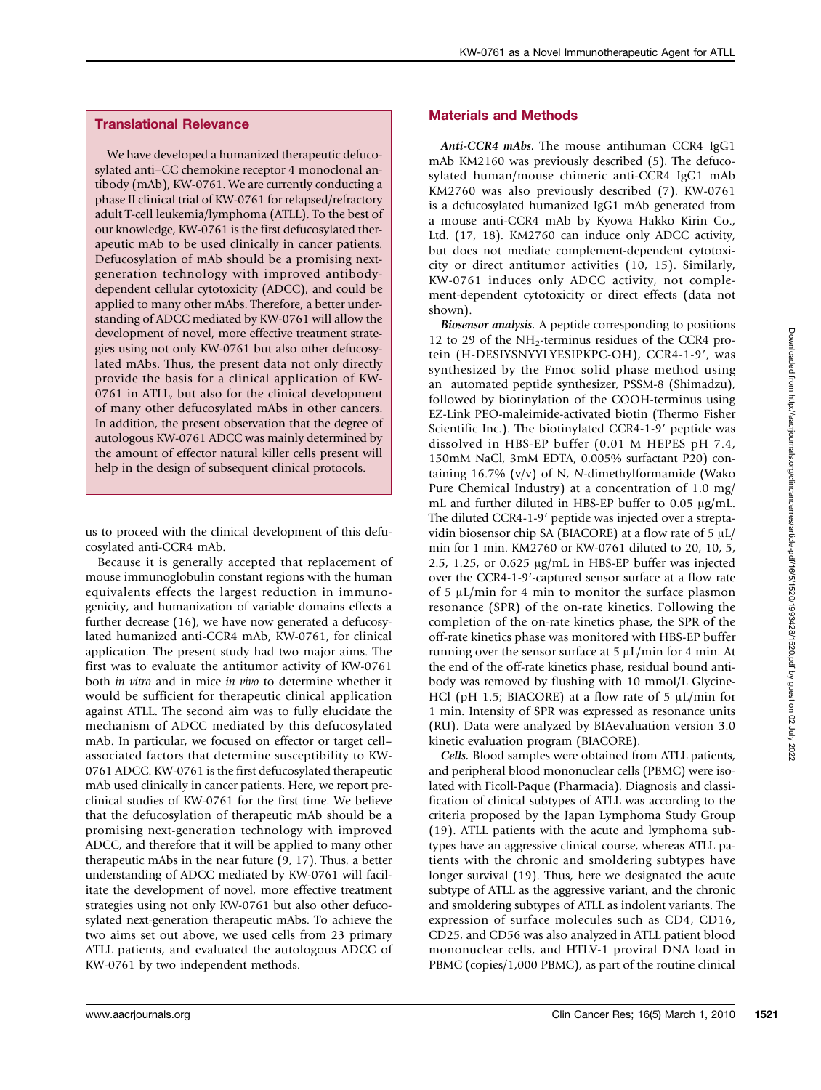## Translational Relevance

We have developed a humanized therapeutic defucosylated anti–CC chemokine receptor 4 monoclonal antibody (mAb), KW-0761. We are currently conducting a phase II clinical trial of KW-0761 for relapsed/refractory adult T-cell leukemia/lymphoma (ATLL). To the best of our knowledge, KW-0761 is the first defucosylated therapeutic mAb to be used clinically in cancer patients. Defucosylation of mAb should be a promising nextgeneration technology with improved antibodydependent cellular cytotoxicity (ADCC), and could be applied to many other mAbs. Therefore, a better understanding of ADCC mediated by KW-0761 will allow the development of novel, more effective treatment strategies using not only KW-0761 but also other defucosylated mAbs. Thus, the present data not only directly provide the basis for a clinical application of KW-0761 in ATLL, but also for the clinical development of many other defucosylated mAbs in other cancers. In addition, the present observation that the degree of autologous KW-0761 ADCC was mainly determined by the amount of effector natural killer cells present will help in the design of subsequent clinical protocols.

us to proceed with the clinical development of this defucosylated anti-CCR4 mAb.

Because it is generally accepted that replacement of mouse immunoglobulin constant regions with the human equivalents effects the largest reduction in immunogenicity, and humanization of variable domains effects a further decrease (16), we have now generated a defucosylated humanized anti-CCR4 mAb, KW-0761, for clinical application. The present study had two major aims. The first was to evaluate the antitumor activity of KW-0761 both in vitro and in mice in vivo to determine whether it would be sufficient for therapeutic clinical application against ATLL. The second aim was to fully elucidate the mechanism of ADCC mediated by this defucosylated mAb. In particular, we focused on effector or target cell– associated factors that determine susceptibility to KW-0761 ADCC. KW-0761 is the first defucosylated therapeutic mAb used clinically in cancer patients. Here, we report preclinical studies of KW-0761 for the first time. We believe that the defucosylation of therapeutic mAb should be a promising next-generation technology with improved ADCC, and therefore that it will be applied to many other therapeutic mAbs in the near future (9, 17). Thus, a better understanding of ADCC mediated by KW-0761 will facilitate the development of novel, more effective treatment strategies using not only KW-0761 but also other defucosylated next-generation therapeutic mAbs. To achieve the two aims set out above, we used cells from 23 primary ATLL patients, and evaluated the autologous ADCC of KW-0761 by two independent methods.

## Materials and Methods

Anti-CCR4 mAbs. The mouse antihuman CCR4 IgG1 mAb KM2160 was previously described (5). The defucosylated human/mouse chimeric anti-CCR4 IgG1 mAb KM2760 was also previously described (7). KW-0761 is a defucosylated humanized IgG1 mAb generated from a mouse anti-CCR4 mAb by Kyowa Hakko Kirin Co., Ltd. (17, 18). KM2760 can induce only ADCC activity, but does not mediate complement-dependent cytotoxicity or direct antitumor activities (10, 15). Similarly, KW-0761 induces only ADCC activity, not complement-dependent cytotoxicity or direct effects (data not shown).

Biosensor analysis. A peptide corresponding to positions 12 to 29 of the  $NH_2$ -terminus residues of the CCR4 protein (H-DESIYSNYYLYESIPKPC-OH), CCR4-1-9′, was synthesized by the Fmoc solid phase method using an automated peptide synthesizer, PSSM-8 (Shimadzu), followed by biotinylation of the COOH-terminus using EZ-Link PEO-maleimide-activated biotin (Thermo Fisher Scientific Inc.). The biotinylated CCR4-1-9′ peptide was dissolved in HBS-EP buffer (0.01 M HEPES pH 7.4, 150mM NaCl, 3mM EDTA, 0.005% surfactant P20) containing  $16.7\%$  (v/v) of N, N-dimethylformamide (Wako Pure Chemical Industry) at a concentration of 1.0 mg/ mL and further diluted in HBS-EP buffer to 0.05 μg/mL. The diluted CCR4-1-9′ peptide was injected over a streptavidin biosensor chip SA (BIACORE) at a flow rate of 5 μL/ min for 1 min. KM2760 or KW-0761 diluted to 20, 10, 5, 2.5, 1.25, or 0.625 μg/mL in HBS-EP buffer was injected over the CCR4-1-9′-captured sensor surface at a flow rate of 5 μL/min for 4 min to monitor the surface plasmon resonance (SPR) of the on-rate kinetics. Following the completion of the on-rate kinetics phase, the SPR of the off-rate kinetics phase was monitored with HBS-EP buffer running over the sensor surface at 5 μL/min for 4 min. At the end of the off-rate kinetics phase, residual bound antibody was removed by flushing with 10 mmol/L Glycine-HCl (pH 1.5; BIACORE) at a flow rate of 5  $\mu$ L/min for 1 min. Intensity of SPR was expressed as resonance units (RU). Data were analyzed by BIAevaluation version 3.0 kinetic evaluation program (BIACORE).

Cells. Blood samples were obtained from ATLL patients, and peripheral blood mononuclear cells (PBMC) were isolated with Ficoll-Paque (Pharmacia). Diagnosis and classification of clinical subtypes of ATLL was according to the criteria proposed by the Japan Lymphoma Study Group (19). ATLL patients with the acute and lymphoma subtypes have an aggressive clinical course, whereas ATLL patients with the chronic and smoldering subtypes have longer survival (19). Thus, here we designated the acute subtype of ATLL as the aggressive variant, and the chronic and smoldering subtypes of ATLL as indolent variants. The expression of surface molecules such as CD4, CD16, CD25, and CD56 was also analyzed in ATLL patient blood mononuclear cells, and HTLV-1 proviral DNA load in PBMC (copies/1,000 PBMC), as part of the routine clinical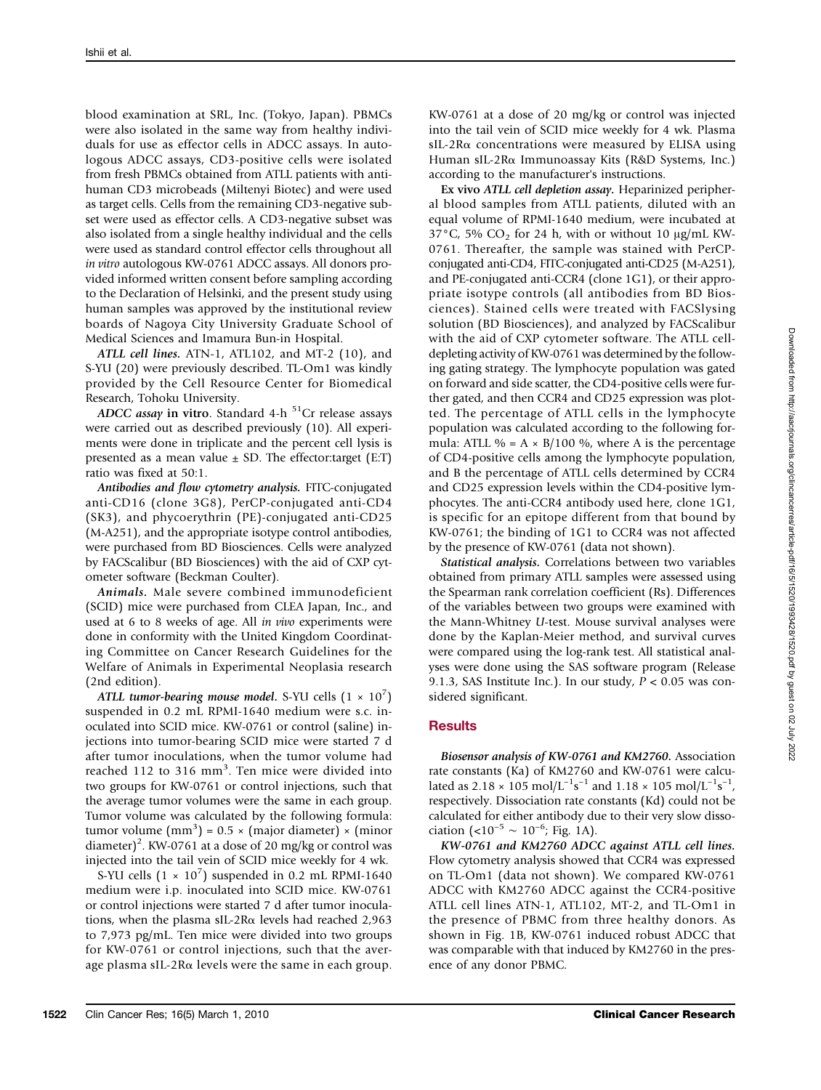blood examination at SRL, Inc. (Tokyo, Japan). PBMCs were also isolated in the same way from healthy individuals for use as effector cells in ADCC assays. In autologous ADCC assays, CD3-positive cells were isolated from fresh PBMCs obtained from ATLL patients with antihuman CD3 microbeads (Miltenyi Biotec) and were used as target cells. Cells from the remaining CD3-negative subset were used as effector cells. A CD3-negative subset was also isolated from a single healthy individual and the cells were used as standard control effector cells throughout all in vitro autologous KW-0761 ADCC assays. All donors provided informed written consent before sampling according to the Declaration of Helsinki, and the present study using human samples was approved by the institutional review boards of Nagoya City University Graduate School of Medical Sciences and Imamura Bun-in Hospital.

ATLL cell lines. ATN-1, ATL102, and MT-2 (10), and S-YU (20) were previously described. TL-Om1 was kindly provided by the Cell Resource Center for Biomedical Research, Tohoku University.

ADCC assay in vitro. Standard 4-h  $51$ Cr release assays were carried out as described previously (10). All experiments were done in triplicate and the percent cell lysis is presented as a mean value  $\pm$  SD. The effector: target (E:T) ratio was fixed at 50:1.

Antibodies and flow cytometry analysis. FITC-conjugated anti-CD16 (clone 3G8), PerCP-conjugated anti-CD4 (SK3), and phycoerythrin (PE)-conjugated anti-CD25 (M-A251), and the appropriate isotype control antibodies, were purchased from BD Biosciences. Cells were analyzed by FACScalibur (BD Biosciences) with the aid of CXP cytometer software (Beckman Coulter).

Animals. Male severe combined immunodeficient (SCID) mice were purchased from CLEA Japan, Inc., and used at 6 to 8 weeks of age. All in vivo experiments were done in conformity with the United Kingdom Coordinating Committee on Cancer Research Guidelines for the Welfare of Animals in Experimental Neoplasia research (2nd edition).

ATLL tumor-bearing mouse model. S-YU cells  $(1 \times 10^7)$ suspended in 0.2 mL RPMI-1640 medium were s.c. inoculated into SCID mice. KW-0761 or control (saline) injections into tumor-bearing SCID mice were started 7 d after tumor inoculations, when the tumor volume had reached 112 to 316 mm<sup>3</sup>. Ten mice were divided into two groups for KW-0761 or control injections, such that the average tumor volumes were the same in each group. Tumor volume was calculated by the following formula: tumor volume  $\text{(mm)}^3$ ) = 0.5 × (major diameter) × (minor diameter)<sup>2</sup>. KW-0761 at a dose of 20 mg/kg or control was injected into the tail vein of SCID mice weekly for 4 wk.

S-YU cells  $(1 \times 10^7)$  suspended in 0.2 mL RPMI-1640 medium were i.p. inoculated into SCID mice. KW-0761 or control injections were started 7 d after tumor inoculations, when the plasma sIL-2Rα levels had reached 2,963 to 7,973 pg/mL. Ten mice were divided into two groups for KW-0761 or control injections, such that the average plasma sIL-2R $\alpha$  levels were the same in each group.

KW-0761 at a dose of 20 mg/kg or control was injected into the tail vein of SCID mice weekly for 4 wk. Plasma sIL-2Rα concentrations were measured by ELISA using Human sIL-2Rα Immunoassay Kits (R&D Systems, Inc.) according to the manufacturer's instructions.

Ex vivo ATLL cell depletion assay. Heparinized peripheral blood samples from ATLL patients, diluted with an equal volume of RPMI-1640 medium, were incubated at  $37^{\circ}$ C, 5% CO<sub>2</sub> for 24 h, with or without 10  $\mu$ g/mL KW-0761. Thereafter, the sample was stained with PerCPconjugated anti-CD4, FITC-conjugated anti-CD25 (M-A251), and PE-conjugated anti-CCR4 (clone 1G1), or their appropriate isotype controls (all antibodies from BD Biosciences). Stained cells were treated with FACSlysing solution (BD Biosciences), and analyzed by FACScalibur with the aid of CXP cytometer software. The ATLL celldepleting activity of KW-0761 was determined by the following gating strategy. The lymphocyte population was gated on forward and side scatter, the CD4-positive cells were further gated, and then CCR4 and CD25 expression was plotted. The percentage of ATLL cells in the lymphocyte population was calculated according to the following formula: ATLL % =  $A \times B/100$  %, where A is the percentage of CD4-positive cells among the lymphocyte population, and B the percentage of ATLL cells determined by CCR4 and CD25 expression levels within the CD4-positive lymphocytes. The anti-CCR4 antibody used here, clone 1G1, is specific for an epitope different from that bound by KW-0761; the binding of 1G1 to CCR4 was not affected by the presence of KW-0761 (data not shown).

Statistical analysis. Correlations between two variables obtained from primary ATLL samples were assessed using the Spearman rank correlation coefficient (Rs). Differences of the variables between two groups were examined with the Mann-Whitney U-test. Mouse survival analyses were done by the Kaplan-Meier method, and survival curves were compared using the log-rank test. All statistical analyses were done using the SAS software program (Release 9.1.3, SAS Institute Inc.). In our study,  $P < 0.05$  was considered significant.

## **Results**

Biosensor analysis of KW-0761 and KM2760. Association rate constants (Ka) of KM2760 and KW-0761 were calculated as 2.18 × 105 mol/L<sup>-1</sup>s<sup>-1</sup> and 1.18 × 105 mol/L<sup>-1</sup>s<sup>-1</sup>, respectively. Dissociation rate constants (Kd) could not be calculated for either antibody due to their very slow dissociation (<10<sup>-5</sup> ~ 10<sup>-6</sup>; Fig. 1A).

KW-0761 and KM2760 ADCC against ATLL cell lines. Flow cytometry analysis showed that CCR4 was expressed on TL-Om1 (data not shown). We compared KW-0761 ADCC with KM2760 ADCC against the CCR4-positive ATLL cell lines ATN-1, ATL102, MT-2, and TL-Om1 in the presence of PBMC from three healthy donors. As shown in Fig. 1B, KW-0761 induced robust ADCC that was comparable with that induced by KM2760 in the presence of any donor PBMC.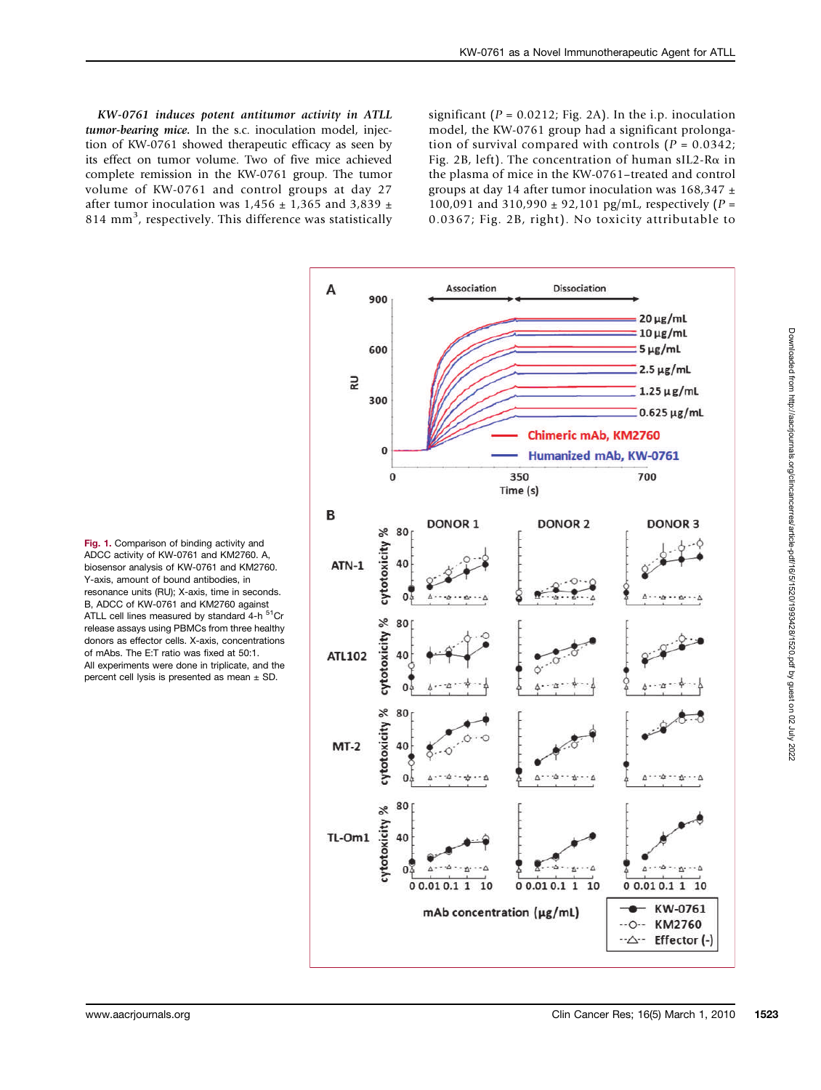KW-0761 induces potent antitumor activity in ATLL tumor-bearing mice. In the s.c. inoculation model, injection of KW-0761 showed therapeutic efficacy as seen by its effect on tumor volume. Two of five mice achieved complete remission in the KW-0761 group. The tumor volume of KW-0761 and control groups at day 27 after tumor inoculation was 1,456  $\pm$  1,365 and 3,839  $\pm$ 814 mm<sup>3</sup>, respectively. This difference was statistically

significant ( $P = 0.0212$ ; Fig. 2A). In the i.p. inoculation model, the KW-0761 group had a significant prolongation of survival compared with controls  $(P = 0.0342)$ ; Fig. 2B, left). The concentration of human sIL2-R $\alpha$  in the plasma of mice in the KW-0761–treated and control groups at day 14 after tumor inoculation was  $168,347 \pm$ 100,091 and 310,990  $\pm$  92,101 pg/mL, respectively (P = 0.0367; Fig. 2B, right). No toxicity attributable to

Fig. 1. Comparison of binding activity and ADCC activity of KW-0761 and KM2760. A, biosensor analysis of KW-0761 and KM2760. Y-axis, amount of bound antibodies, in resonance units (RU); X-axis, time in seconds. B, ADCC of KW-0761 and KM2760 against ATLL cell lines measured by standard 4-h <sup>51</sup>Cr release assays using PBMCs from three healthy donors as effector cells. X-axis, concentrations of mAbs. The E:T ratio was fixed at 50:1. All experiments were done in triplicate, and the percent cell lysis is presented as mean ± SD.

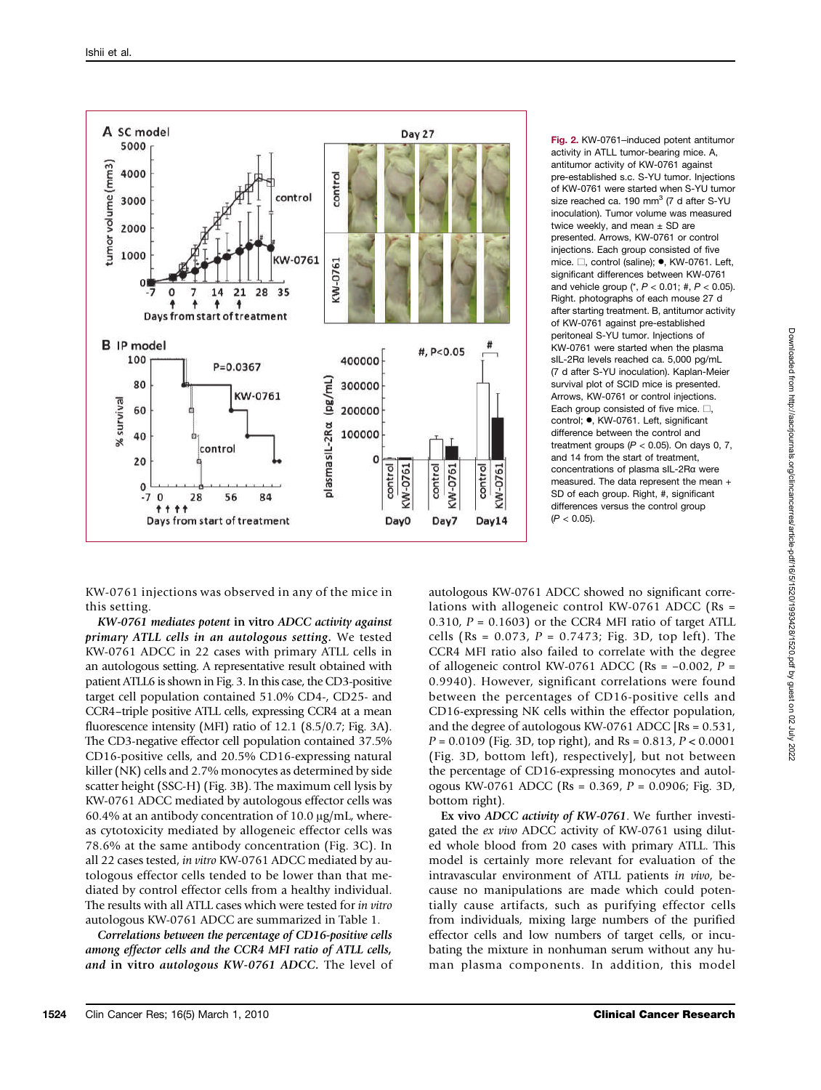

Fig. 2. KW-0761–induced potent antitumor activity in ATLL tumor-bearing mice. A, antitumor activity of KW-0761 against pre-established s.c. S-YU tumor. Injections of KW-0761 were started when S-YU tumor size reached ca. 190 mm<sup>3</sup> (7 d after S-YU inoculation). Tumor volume was measured twice weekly, and mean  $\pm$  SD are presented. Arrows, KW-0761 or control injections. Each group consisted of five mice. □, control (saline); •, KW-0761. Left, significant differences between KW-0761 and vehicle group  $(*, P < 0.01; *, P < 0.05)$ . Right. photographs of each mouse 27 d after starting treatment. B, antitumor activity of KW-0761 against pre-established peritoneal S-YU tumor. Injections of KW-0761 were started when the plasma sIL-2Rα levels reached ca. 5,000 pg/mL (7 d after S-YU inoculation). Kaplan-Meier survival plot of SCID mice is presented. Arrows, KW-0761 or control injections. Each group consisted of five mice.  $\square$ . control; ·, KW-0761. Left, significant difference between the control and treatment groups ( $P < 0.05$ ). On days 0, 7, and 14 from the start of treatment, concentrations of plasma sIL-2Rα were measured. The data represent the mean + SD of each group. Right, #, significant differences versus the control group  $(P < 0.05)$ .

KW-0761 injections was observed in any of the mice in this setting.

KW-0761 mediates potent in vitro ADCC activity against primary ATLL cells in an autologous setting. We tested KW-0761 ADCC in 22 cases with primary ATLL cells in an autologous setting. A representative result obtained with patient ATLL6 is shown in Fig. 3. In this case, the CD3-positive target cell population contained 51.0% CD4-, CD25- and CCR4–triple positive ATLL cells, expressing CCR4 at a mean fluorescence intensity (MFI) ratio of 12.1 (8.5/0.7; Fig. 3A). The CD3-negative effector cell population contained 37.5% CD16-positive cells, and 20.5% CD16-expressing natural killer (NK) cells and 2.7% monocytes as determined by side scatter height (SSC-H) (Fig. 3B). The maximum cell lysis by KW-0761 ADCC mediated by autologous effector cells was 60.4% at an antibody concentration of 10.0 μg/mL, whereas cytotoxicity mediated by allogeneic effector cells was 78.6% at the same antibody concentration (Fig. 3C). In all 22 cases tested, in vitro KW-0761 ADCC mediated by autologous effector cells tended to be lower than that mediated by control effector cells from a healthy individual. The results with all ATLL cases which were tested for in vitro autologous KW-0761 ADCC are summarized in Table 1.

Correlations between the percentage of CD16-positive cells among effector cells and the CCR4 MFI ratio of ATLL cells, and in vitro autologous KW-0761 ADCC. The level of

autologous KW-0761 ADCC showed no significant correlations with allogeneic control KW-0761 ADCC (Rs = 0.310,  $P = 0.1603$ ) or the CCR4 MFI ratio of target ATLL cells (Rs =  $0.073$ ,  $P = 0.7473$ ; Fig. 3D, top left). The CCR4 MFI ratio also failed to correlate with the degree of allogeneic control KW-0761 ADCC (Rs =  $-0.002$ , P = 0.9940). However, significant correlations were found between the percentages of CD16-positive cells and CD16-expressing NK cells within the effector population, and the degree of autologous KW-0761 ADCC [Rs = 0.531,  $P = 0.0109$  (Fig. 3D, top right), and Rs = 0.813,  $P < 0.0001$ (Fig. 3D, bottom left), respectively], but not between the percentage of CD16-expressing monocytes and autologous KW-0761 ADCC (Rs = 0.369, P = 0.0906; Fig. 3D, bottom right).

Ex vivo ADCC activity of KW-0761. We further investigated the ex vivo ADCC activity of KW-0761 using diluted whole blood from 20 cases with primary ATLL. This model is certainly more relevant for evaluation of the intravascular environment of ATLL patients in vivo, because no manipulations are made which could potentially cause artifacts, such as purifying effector cells from individuals, mixing large numbers of the purified effector cells and low numbers of target cells, or incubating the mixture in nonhuman serum without any human plasma components. In addition, this model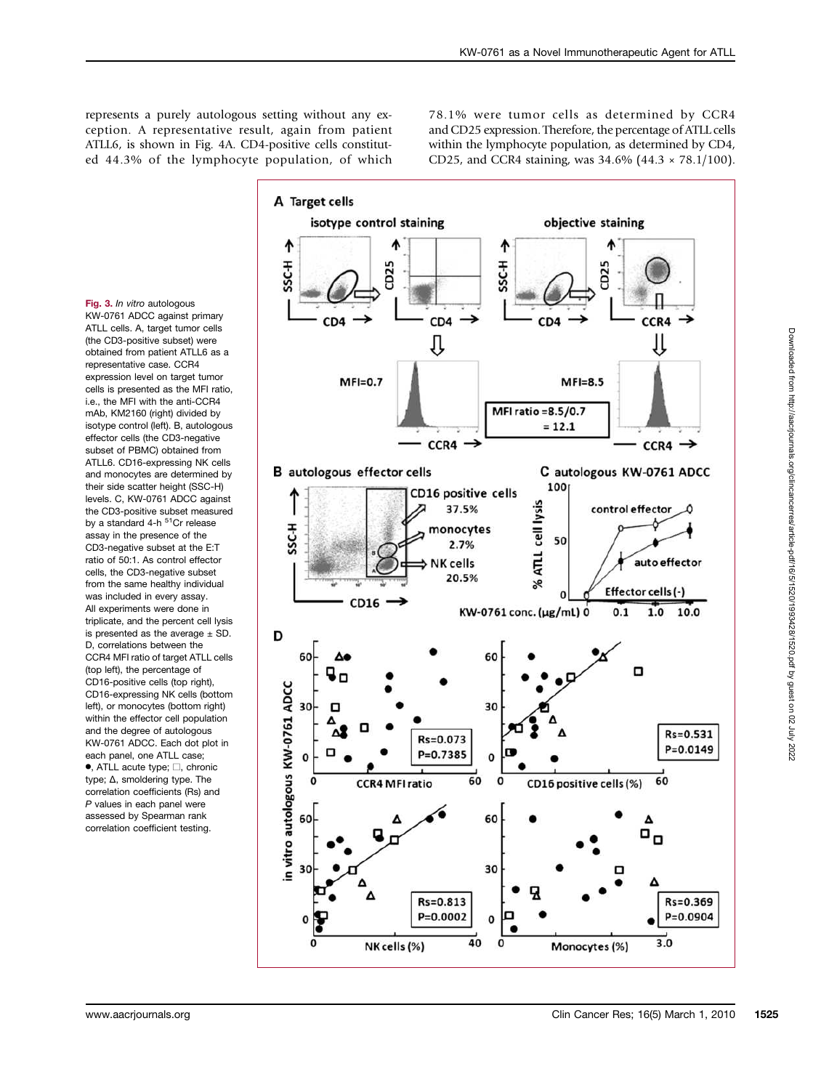represents a purely autologous setting without any exception. A representative result, again from patient ATLL6, is shown in Fig. 4A. CD4-positive cells constituted 44.3% of the lymphocyte population, of which

78.1% were tumor cells as determined by CCR4 and CD25 expression. Therefore, the percentage of ATLL cells within the lymphocyte population, as determined by CD4, CD25, and CCR4 staining, was 34.6% (44.3 × 78.1/100).

Fig. 3. In vitro autologous KW-0761 ADCC against primary ATLL cells. A, target tumor cells (the CD3-positive subset) were obtained from patient ATLL6 as a representative case. CCR4 expression level on target tumor cells is presented as the MFI ratio, i.e., the MFI with the anti-CCR4 mAb, KM2160 (right) divided by isotype control (left). B, autologous effector cells (the CD3-negative subset of PBMC) obtained from ATLL6. CD16-expressing NK cells and monocytes are determined by their side scatter height (SSC-H) levels. C, KW-0761 ADCC against the CD3-positive subset measured by a standard 4-h <sup>51</sup>Cr release assay in the presence of the CD3-negative subset at the E:T ratio of 50:1. As control effector cells, the CD3-negative subset from the same healthy individual was included in every assay. All experiments were done in triplicate, and the percent cell lysis is presented as the average  $+$  SD. D, correlations between the CCR4 MFI ratio of target ATLL cells (top left), the percentage of CD16-positive cells (top right), CD16-expressing NK cells (bottom left), or monocytes (bottom right) within the effector cell population and the degree of autologous KW-0761 ADCC. Each dot plot in each panel, one ATLL case; •, ATLL acute type; □, chronic type; Δ, smoldering type. The correlation coefficients (Rs) and P values in each panel were assessed by Spearman rank correlation coefficient testing.

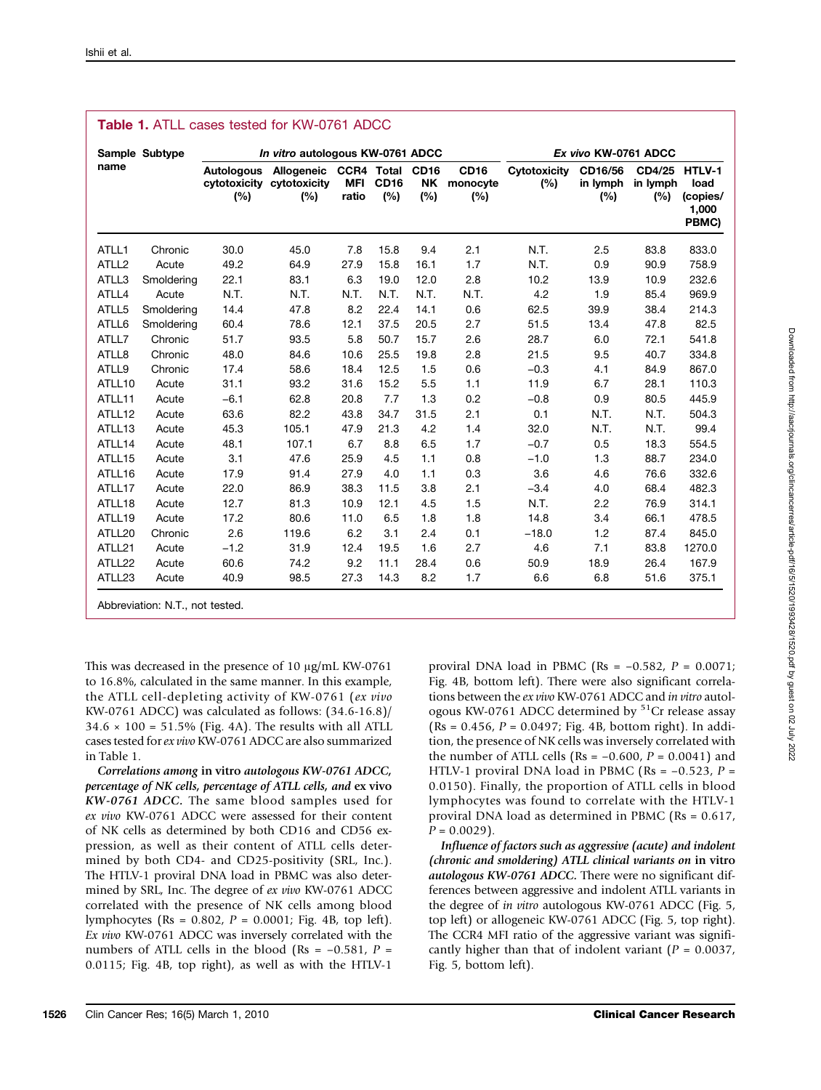| name              | Sample Subtype | In vitro autologous KW-0761 ADCC |                                                |                                          |                    |                                 |                                | Ex vivo KW-0761 ADCC       |                            |                                  |                                    |
|-------------------|----------------|----------------------------------|------------------------------------------------|------------------------------------------|--------------------|---------------------------------|--------------------------------|----------------------------|----------------------------|----------------------------------|------------------------------------|
|                   |                | <b>Autologous</b><br>(%)         | Allogeneic<br>cytotoxicity cytotoxicity<br>(%) | <b>CCR4 Total</b><br><b>MFI</b><br>ratio | <b>CD16</b><br>(%) | <b>CD16</b><br><b>NK</b><br>(%) | <b>CD16</b><br>monocyte<br>(%) | <b>Cytotoxicity</b><br>(%) | CD16/56<br>in lymph<br>(%) | CD4/25 HTLV-1<br>in lymph<br>(%) | load<br>(copies/<br>1,000<br>PBMC) |
| ATLL1             | Chronic        | 30.0                             | 45.0                                           | 7.8                                      | 15.8               | 9.4                             | 2.1                            | N.T.                       | 2.5                        | 83.8                             | 833.0                              |
| ATLL <sub>2</sub> | Acute          | 49.2                             | 64.9                                           | 27.9                                     | 15.8               | 16.1                            | 1.7                            | N.T.                       | 0.9                        | 90.9                             | 758.9                              |
| ATLL3             | Smoldering     | 22.1                             | 83.1                                           | 6.3                                      | 19.0               | 12.0                            | 2.8                            | 10.2                       | 13.9                       | 10.9                             | 232.6                              |
| ATLL4             | Acute          | N.T.                             | N.T.                                           | N.T.                                     | N.T.               | N.T.                            | N.T.                           | 4.2                        | 1.9                        | 85.4                             | 969.9                              |
| ATLL5             | Smoldering     | 14.4                             | 47.8                                           | 8.2                                      | 22.4               | 14.1                            | 0.6                            | 62.5                       | 39.9                       | 38.4                             | 214.3                              |
| ATLL6             | Smoldering     | 60.4                             | 78.6                                           | 12.1                                     | 37.5               | 20.5                            | 2.7                            | 51.5                       | 13.4                       | 47.8                             | 82.5                               |
| ATLL7             | Chronic        | 51.7                             | 93.5                                           | 5.8                                      | 50.7               | 15.7                            | 2.6                            | 28.7                       | 6.0                        | 72.1                             | 541.8                              |
| ATLL8             | Chronic        | 48.0                             | 84.6                                           | 10.6                                     | 25.5               | 19.8                            | 2.8                            | 21.5                       | 9.5                        | 40.7                             | 334.8                              |
| ATLL9             | Chronic        | 17.4                             | 58.6                                           | 18.4                                     | 12.5               | 1.5                             | 0.6                            | $-0.3$                     | 4.1                        | 84.9                             | 867.0                              |
| ATLL10            | Acute          | 31.1                             | 93.2                                           | 31.6                                     | 15.2               | 5.5                             | 1.1                            | 11.9                       | 6.7                        | 28.1                             | 110.3                              |
| ATLL11            | Acute          | $-6.1$                           | 62.8                                           | 20.8                                     | 7.7                | 1.3                             | 0.2                            | $-0.8$                     | 0.9                        | 80.5                             | 445.9                              |
| ATLL12            | Acute          | 63.6                             | 82.2                                           | 43.8                                     | 34.7               | 31.5                            | 2.1                            | 0.1                        | N.T.                       | N.T.                             | 504.3                              |
| ATLL13            | Acute          | 45.3                             | 105.1                                          | 47.9                                     | 21.3               | 4.2                             | 1.4                            | 32.0                       | N.T.                       | N.T.                             | 99.4                               |
| ATLL14            | Acute          | 48.1                             | 107.1                                          | 6.7                                      | 8.8                | 6.5                             | 1.7                            | $-0.7$                     | 0.5                        | 18.3                             | 554.5                              |
| ATLL15            | Acute          | 3.1                              | 47.6                                           | 25.9                                     | 4.5                | 1.1                             | 0.8                            | $-1.0$                     | 1.3                        | 88.7                             | 234.0                              |
| ATLL16            | Acute          | 17.9                             | 91.4                                           | 27.9                                     | 4.0                | 1.1                             | 0.3                            | 3.6                        | 4.6                        | 76.6                             | 332.6                              |
| ATLL17            | Acute          | 22.0                             | 86.9                                           | 38.3                                     | 11.5               | 3.8                             | 2.1                            | $-3.4$                     | 4.0                        | 68.4                             | 482.3                              |
| ATLL18            | Acute          | 12.7                             | 81.3                                           | 10.9                                     | 12.1               | 4.5                             | 1.5                            | N.T.                       | 2.2                        | 76.9                             | 314.1                              |
| ATLL19            | Acute          | 17.2                             | 80.6                                           | 11.0                                     | 6.5                | 1.8                             | 1.8                            | 14.8                       | 3.4                        | 66.1                             | 478.5                              |
| ATLL20            | Chronic        | 2.6                              | 119.6                                          | 6.2                                      | 3.1                | 2.4                             | 0.1                            | $-18.0$                    | 1.2                        | 87.4                             | 845.0                              |
| ATLL21            | Acute          | $-1.2$                           | 31.9                                           | 12.4                                     | 19.5               | 1.6                             | 2.7                            | 4.6                        | 7.1                        | 83.8                             | 1270.0                             |
| ATLL22            | Acute          | 60.6                             | 74.2                                           | 9.2                                      | 11.1               | 28.4                            | 0.6                            | 50.9                       | 18.9                       | 26.4                             | 167.9                              |
| ATLL23            | Acute          | 40.9                             | 98.5                                           | 27.3                                     | 14.3               | 8.2                             | 1.7                            | 6.6                        | 6.8                        | 51.6                             | 375.1                              |

## Table 1. ATLL cases tested for KW-0761 ADCC

This was decreased in the presence of 10 μg/mL KW-0761 to 16.8%, calculated in the same manner. In this example, the ATLL cell-depleting activity of KW-0761 (ex vivo KW-0761 ADCC) was calculated as follows: (34.6-16.8)/  $34.6 \times 100 = 51.5\%$  (Fig. 4A). The results with all ATLL cases tested for ex vivo KW-0761 ADCC are also summarized in Table 1.

Correlations among in vitro autologous KW-0761 ADCC, percentage of NK cells, percentage of ATLL cells, and ex vivo KW-0761 ADCC. The same blood samples used for ex vivo KW-0761 ADCC were assessed for their content of NK cells as determined by both CD16 and CD56 expression, as well as their content of ATLL cells determined by both CD4- and CD25-positivity (SRL, Inc.). The HTLV-1 proviral DNA load in PBMC was also determined by SRL, Inc. The degree of ex vivo KW-0761 ADCC correlated with the presence of NK cells among blood lymphocytes (Rs = 0.802, P = 0.0001; Fig. 4B, top left). Ex vivo KW-0761 ADCC was inversely correlated with the numbers of ATLL cells in the blood (Rs =  $-0.581$ , P = 0.0115; Fig. 4B, top right), as well as with the HTLV-1

proviral DNA load in PBMC (Rs =  $-0.582$ , P = 0.0071; Fig. 4B, bottom left). There were also significant correlations between the ex vivo KW-0761 ADCC and in vitro autologous KW-0761 ADCC determined by <sup>51</sup>Cr release assay  $(Rs = 0.456, P = 0.0497; Fig. 4B, bottom right). In addi$ tion, the presence of NK cells was inversely correlated with the number of ATLL cells (Rs =  $-0.600$ , P = 0.0041) and HTLV-1 proviral DNA load in PBMC (Rs =  $-0.523$ , P = 0.0150). Finally, the proportion of ATLL cells in blood lymphocytes was found to correlate with the HTLV-1 proviral DNA load as determined in PBMC (Rs = 0.617,  $P = 0.0029$ ).

Influence of factors such as aggressive (acute) and indolent (chronic and smoldering) ATLL clinical variants on in vitro autologous KW-0761 ADCC. There were no significant differences between aggressive and indolent ATLL variants in the degree of in vitro autologous KW-0761 ADCC (Fig. 5, top left) or allogeneic KW-0761 ADCC (Fig. 5, top right). The CCR4 MFI ratio of the aggressive variant was significantly higher than that of indolent variant ( $P = 0.0037$ , Fig. 5, bottom left).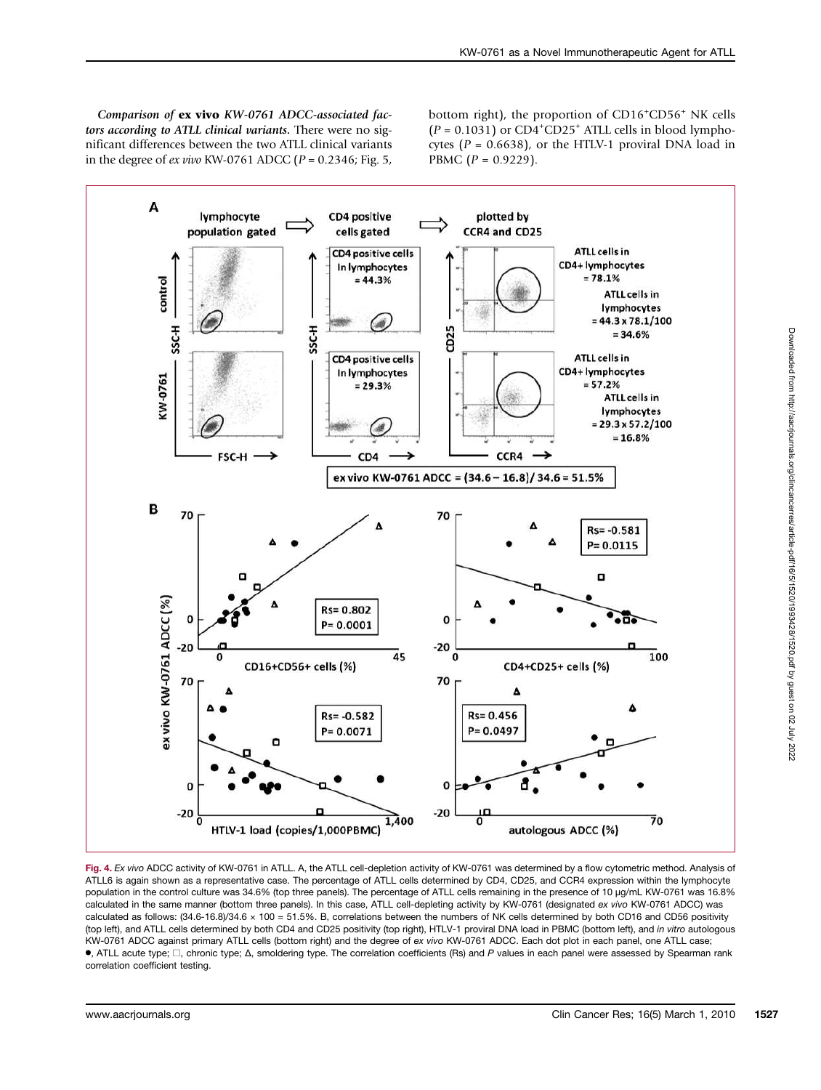Comparison of ex vivo KW-0761 ADCC-associated factors according to ATLL clinical variants. There were no significant differences between the two ATLL clinical variants in the degree of *ex vivo* KW-0761 ADCC ( $P = 0.2346$ ; Fig. 5,

bottom right), the proportion of CD16<sup>+</sup>CD56<sup>+</sup> NK cells  $(P = 0.1031)$  or CD4<sup>+</sup>CD25<sup>+</sup> ATLL cells in blood lymphocytes ( $P = 0.6638$ ), or the HTLV-1 proviral DNA load in PBMC  $(P = 0.9229)$ .



Fig. 4. Ex vivo ADCC activity of KW-0761 in ATLL. A, the ATLL cell-depletion activity of KW-0761 was determined by a flow cytometric method. Analysis of ATLL6 is again shown as a representative case. The percentage of ATLL cells determined by CD4, CD25, and CCR4 expression within the lymphocyte population in the control culture was 34.6% (top three panels). The percentage of ATLL cells remaining in the presence of 10 μg/mL KW-0761 was 16.8% calculated in the same manner (bottom three panels). In this case, ATLL cell-depleting activity by KW-0761 (designated ex vivo KW-0761 ADCC) was calculated as follows: (34.6-16.8)/34.6 × 100 = 51.5%. B, correlations between the numbers of NK cells determined by both CD16 and CD56 positivity (top left), and ATLL cells determined by both CD4 and CD25 positivity (top right), HTLV-1 proviral DNA load in PBMC (bottom left), and in vitro autologous KW-0761 ADCC against primary ATLL cells (bottom right) and the degree of ex vivo KW-0761 ADCC. Each dot plot in each panel, one ATLL case; •, ATLL acute type; □, chronic type; <sup>Δ</sup>, smoldering type. The correlation coefficients (Rs) and <sup>P</sup> values in each panel were assessed by Spearman rank correlation coefficient testing.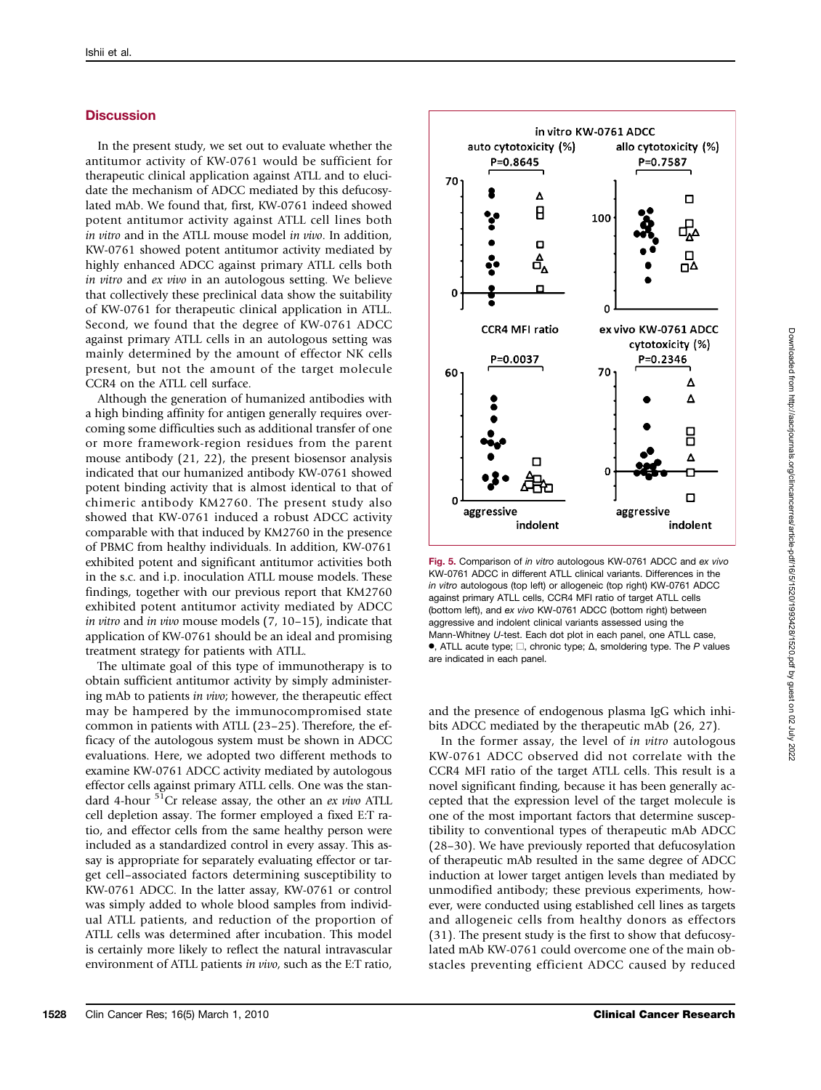#### **Discussion**

In the present study, we set out to evaluate whether the antitumor activity of KW-0761 would be sufficient for therapeutic clinical application against ATLL and to elucidate the mechanism of ADCC mediated by this defucosylated mAb. We found that, first, KW-0761 indeed showed potent antitumor activity against ATLL cell lines both in vitro and in the ATLL mouse model in vivo. In addition, KW-0761 showed potent antitumor activity mediated by highly enhanced ADCC against primary ATLL cells both in vitro and ex vivo in an autologous setting. We believe that collectively these preclinical data show the suitability of KW-0761 for therapeutic clinical application in ATLL. Second, we found that the degree of KW-0761 ADCC against primary ATLL cells in an autologous setting was mainly determined by the amount of effector NK cells present, but not the amount of the target molecule CCR4 on the ATLL cell surface.

Although the generation of humanized antibodies with a high binding affinity for antigen generally requires overcoming some difficulties such as additional transfer of one or more framework-region residues from the parent mouse antibody (21, 22), the present biosensor analysis indicated that our humanized antibody KW-0761 showed potent binding activity that is almost identical to that of chimeric antibody KM2760. The present study also showed that KW-0761 induced a robust ADCC activity comparable with that induced by KM2760 in the presence of PBMC from healthy individuals. In addition, KW-0761 exhibited potent and significant antitumor activities both in the s.c. and i.p. inoculation ATLL mouse models. These findings, together with our previous report that KM2760 exhibited potent antitumor activity mediated by ADCC in vitro and in vivo mouse models (7, 10–15), indicate that application of KW-0761 should be an ideal and promising treatment strategy for patients with ATLL.

The ultimate goal of this type of immunotherapy is to obtain sufficient antitumor activity by simply administering mAb to patients in vivo; however, the therapeutic effect may be hampered by the immunocompromised state common in patients with ATLL (23–25). Therefore, the efficacy of the autologous system must be shown in ADCC evaluations. Here, we adopted two different methods to examine KW-0761 ADCC activity mediated by autologous effector cells against primary ATLL cells. One was the standard 4-hour  $51$ Cr release assay, the other an ex vivo ATLL cell depletion assay. The former employed a fixed E:T ratio, and effector cells from the same healthy person were included as a standardized control in every assay. This assay is appropriate for separately evaluating effector or target cell–associated factors determining susceptibility to KW-0761 ADCC. In the latter assay, KW-0761 or control was simply added to whole blood samples from individual ATLL patients, and reduction of the proportion of ATLL cells was determined after incubation. This model is certainly more likely to reflect the natural intravascular environment of ATLL patients in vivo, such as the E:T ratio,



Fig. 5. Comparison of in vitro autologous KW-0761 ADCC and ex vivo KW-0761 ADCC in different ATLL clinical variants. Differences in the in vitro autologous (top left) or allogeneic (top right) KW-0761 ADCC against primary ATLL cells, CCR4 MFI ratio of target ATLL cells (bottom left), and ex vivo KW-0761 ADCC (bottom right) between aggressive and indolent clinical variants assessed using the Mann-Whitney U-test. Each dot plot in each panel, one ATLL case,  $\bullet$ , ATLL acute type;  $\square$ , chronic type;  $\Delta$ , smoldering type. The P values are indicated in each panel.

and the presence of endogenous plasma IgG which inhibits ADCC mediated by the therapeutic mAb (26, 27).

In the former assay, the level of in vitro autologous KW-0761 ADCC observed did not correlate with the CCR4 MFI ratio of the target ATLL cells. This result is a novel significant finding, because it has been generally accepted that the expression level of the target molecule is one of the most important factors that determine susceptibility to conventional types of therapeutic mAb ADCC (28–30). We have previously reported that defucosylation of therapeutic mAb resulted in the same degree of ADCC induction at lower target antigen levels than mediated by unmodified antibody; these previous experiments, however, were conducted using established cell lines as targets and allogeneic cells from healthy donors as effectors (31). The present study is the first to show that defucosylated mAb KW-0761 could overcome one of the main obstacles preventing efficient ADCC caused by reduced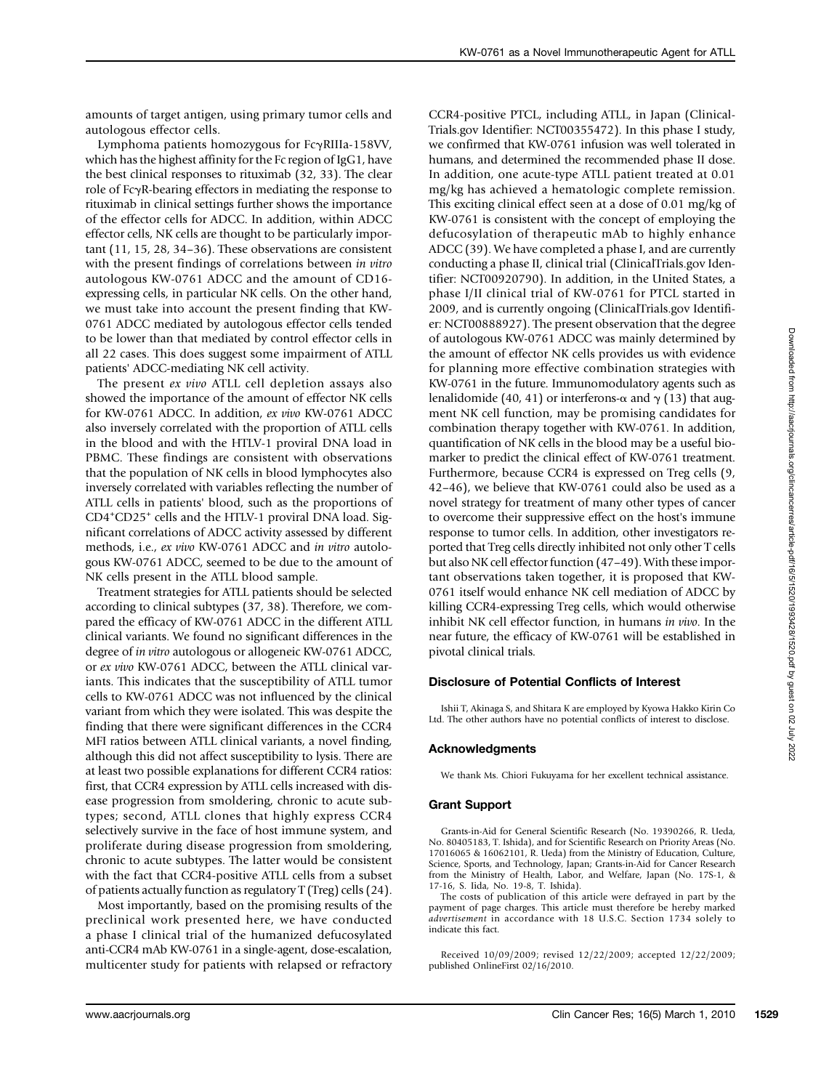amounts of target antigen, using primary tumor cells and autologous effector cells.

Lymphoma patients homozygous for FcγRIIIa-158VV, which has the highest affinity for the Fc region of IgG1, have the best clinical responses to rituximab (32, 33). The clear role of FcγR-bearing effectors in mediating the response to rituximab in clinical settings further shows the importance of the effector cells for ADCC. In addition, within ADCC effector cells, NK cells are thought to be particularly important (11, 15, 28, 34–36). These observations are consistent with the present findings of correlations between in vitro autologous KW-0761 ADCC and the amount of CD16 expressing cells, in particular NK cells. On the other hand, we must take into account the present finding that KW-0761 ADCC mediated by autologous effector cells tended to be lower than that mediated by control effector cells in all 22 cases. This does suggest some impairment of ATLL patients' ADCC-mediating NK cell activity.

The present ex vivo ATLL cell depletion assays also showed the importance of the amount of effector NK cells for KW-0761 ADCC. In addition, ex vivo KW-0761 ADCC also inversely correlated with the proportion of ATLL cells in the blood and with the HTLV-1 proviral DNA load in PBMC. These findings are consistent with observations that the population of NK cells in blood lymphocytes also inversely correlated with variables reflecting the number of ATLL cells in patients' blood, such as the proportions of CD4+ CD25<sup>+</sup> cells and the HTLV-1 proviral DNA load. Significant correlations of ADCC activity assessed by different methods, i.e., ex vivo KW-0761 ADCC and in vitro autologous KW-0761 ADCC, seemed to be due to the amount of NK cells present in the ATLL blood sample.

Treatment strategies for ATLL patients should be selected according to clinical subtypes (37, 38). Therefore, we compared the efficacy of KW-0761 ADCC in the different ATLL clinical variants. We found no significant differences in the degree of in vitro autologous or allogeneic KW-0761 ADCC, or ex vivo KW-0761 ADCC, between the ATLL clinical variants. This indicates that the susceptibility of ATLL tumor cells to KW-0761 ADCC was not influenced by the clinical variant from which they were isolated. This was despite the finding that there were significant differences in the CCR4 MFI ratios between ATLL clinical variants, a novel finding, although this did not affect susceptibility to lysis. There are at least two possible explanations for different CCR4 ratios: first, that CCR4 expression by ATLL cells increased with disease progression from smoldering, chronic to acute subtypes; second, ATLL clones that highly express CCR4 selectively survive in the face of host immune system, and proliferate during disease progression from smoldering, chronic to acute subtypes. The latter would be consistent with the fact that CCR4-positive ATLL cells from a subset of patients actually function as regulatory T (Treg) cells (24).

Most importantly, based on the promising results of the preclinical work presented here, we have conducted a phase I clinical trial of the humanized defucosylated anti-CCR4 mAb KW-0761 in a single-agent, dose-escalation, multicenter study for patients with relapsed or refractory

CCR4-positive PTCL, including ATLL, in Japan (Clinical-Trials.gov Identifier: NCT00355472). In this phase I study, we confirmed that KW-0761 infusion was well tolerated in humans, and determined the recommended phase II dose. In addition, one acute-type ATLL patient treated at 0.01 mg/kg has achieved a hematologic complete remission. This exciting clinical effect seen at a dose of 0.01 mg/kg of KW-0761 is consistent with the concept of employing the defucosylation of therapeutic mAb to highly enhance ADCC (39). We have completed a phase I, and are currently conducting a phase II, clinical trial (ClinicalTrials.gov Identifier: NCT00920790). In addition, in the United States, a phase I/II clinical trial of KW-0761 for PTCL started in 2009, and is currently ongoing (ClinicalTrials.gov Identifier: NCT00888927). The present observation that the degree of autologous KW-0761 ADCC was mainly determined by the amount of effector NK cells provides us with evidence for planning more effective combination strategies with KW-0761 in the future. Immunomodulatory agents such as lenalidomide (40, 41) or interferons-α and  $\gamma$  (13) that augment NK cell function, may be promising candidates for combination therapy together with KW-0761. In addition, quantification of NK cells in the blood may be a useful biomarker to predict the clinical effect of KW-0761 treatment. Furthermore, because CCR4 is expressed on Treg cells (9, 42–46), we believe that KW-0761 could also be used as a novel strategy for treatment of many other types of cancer to overcome their suppressive effect on the host's immune response to tumor cells. In addition, other investigators reported that Treg cells directly inhibited not only other T cells but also NK cell effector function (47–49). With these important observations taken together, it is proposed that KW-0761 itself would enhance NK cell mediation of ADCC by killing CCR4-expressing Treg cells, which would otherwise inhibit NK cell effector function, in humans in vivo. In the near future, the efficacy of KW-0761 will be established in pivotal clinical trials.

#### Disclosure of Potential Conflicts of Interest

Ishii T, Akinaga S, and Shitara K are employed by Kyowa Hakko Kirin Co Ltd. The other authors have no potential conflicts of interest to disclose.

#### Acknowledgments

We thank Ms. Chiori Fukuyama for her excellent technical assistance.

#### Grant Support

Grants-in-Aid for General Scientific Research (No. 19390266, R. Ueda, No. 80405183, T. Ishida), and for Scientific Research on Priority Areas (No. 17016065 & 16062101, R. Ueda) from the Ministry of Education, Culture, Science, Sports, and Technology, Japan; Grants-in-Aid for Cancer Research from the Ministry of Health, Labor, and Welfare, Japan (No. 17S-1, & 17-16, S. Iida, No. 19-8, T. Ishida).

The costs of publication of this article were defrayed in part by the payment of page charges. This article must therefore be hereby marked advertisement in accordance with 18 U.S.C. Section 1734 solely to indicate this fact.

Received 10/09/2009; revised 12/22/2009; accepted 12/22/2009; published OnlineFirst 02/16/2010.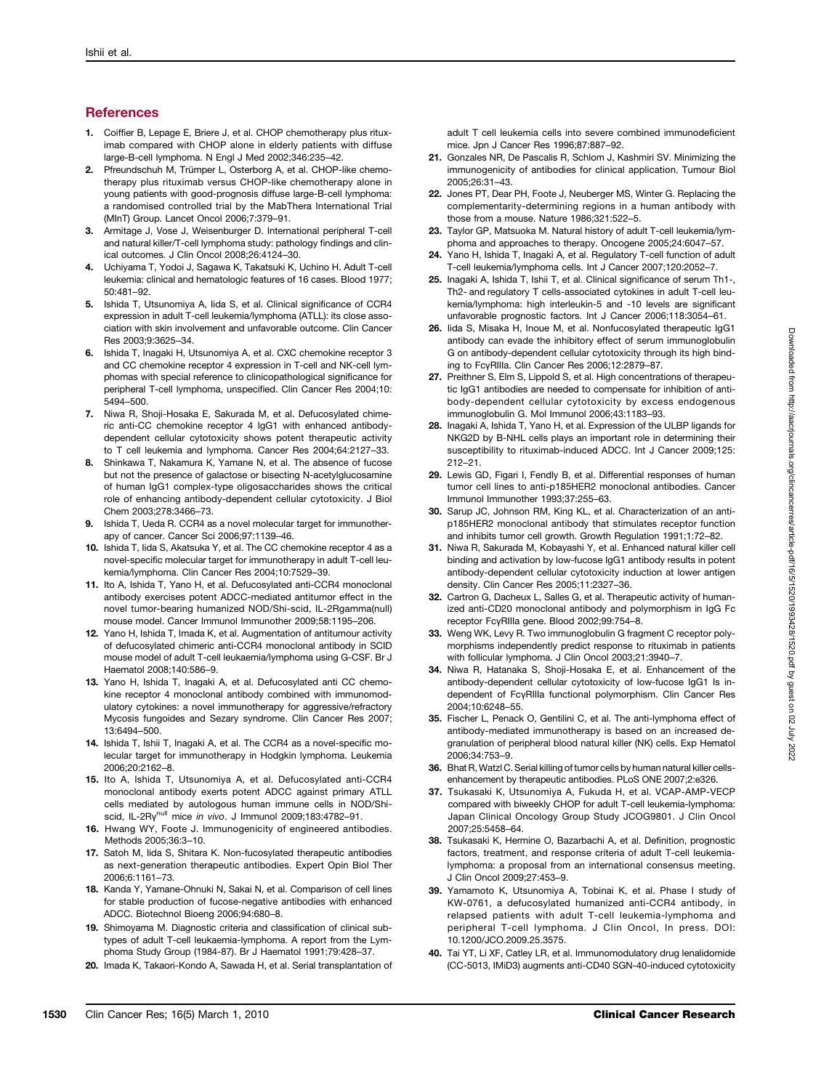## **References**

- 1. Coiffier B, Lepage E, Briere J, et al. CHOP chemotherapy plus rituximab compared with CHOP alone in elderly patients with diffuse large-B-cell lymphoma. N Engl J Med 2002;346:235–42.
- 2. Pfreundschuh M, Trümper L, Osterborg A, et al. CHOP-like chemotherapy plus rituximab versus CHOP-like chemotherapy alone in young patients with good-prognosis diffuse large-B-cell lymphoma: a randomised controlled trial by the MabThera International Trial (MInT) Group. Lancet Oncol 2006;7:379–91.
- 3. Armitage J, Vose J, Weisenburger D. International peripheral T-cell and natural killer/T-cell lymphoma study: pathology findings and clinical outcomes. J Clin Oncol 2008;26:4124–30.
- 4. Uchiyama T, Yodoi J, Sagawa K, Takatsuki K, Uchino H. Adult T-cell leukemia: clinical and hematologic features of 16 cases. Blood 1977; 50:481–92.
- 5. Ishida T, Utsunomiya A, Iida S, et al. Clinical significance of CCR4 expression in adult T-cell leukemia/lymphoma (ATLL): its close association with skin involvement and unfavorable outcome. Clin Cancer Res 2003;9:3625–34.
- 6. Ishida T, Inagaki H, Utsunomiya A, et al. CXC chemokine receptor 3 and CC chemokine receptor 4 expression in T-cell and NK-cell lymphomas with special reference to clinicopathological significance for peripheral T-cell lymphoma, unspecified. Clin Cancer Res 2004;10: 5494–500.
- 7. Niwa R, Shoji-Hosaka E, Sakurada M, et al. Defucosylated chimeric anti-CC chemokine receptor 4 IgG1 with enhanced antibodydependent cellular cytotoxicity shows potent therapeutic activity to T cell leukemia and lymphoma. Cancer Res 2004;64:2127–33.
- 8. Shinkawa T, Nakamura K, Yamane N, et al. The absence of fucose but not the presence of galactose or bisecting N-acetylglucosamine of human IgG1 complex-type oligosaccharides shows the critical role of enhancing antibody-dependent cellular cytotoxicity. J Biol Chem 2003;278:3466–73.
- 9. Ishida T, Ueda R. CCR4 as a novel molecular target for immunotherapy of cancer. Cancer Sci 2006;97:1139–46.
- 10. Ishida T, Iida S, Akatsuka Y, et al. The CC chemokine receptor 4 as a novel-specific molecular target for immunotherapy in adult T-cell leukemia/lymphoma. Clin Cancer Res 2004;10:7529–39.
- 11. Ito A, Ishida T, Yano H, et al. Defucosylated anti-CCR4 monoclonal antibody exercises potent ADCC-mediated antitumor effect in the novel tumor-bearing humanized NOD/Shi-scid, IL-2Rgamma(null) mouse model. Cancer Immunol Immunother 2009;58:1195–206.
- 12. Yano H, Ishida T, Imada K, et al. Augmentation of antitumour activity of defucosylated chimeric anti-CCR4 monoclonal antibody in SCID mouse model of adult T-cell leukaemia/lymphoma using G-CSF. Br J Haematol 2008;140:586–9.
- 13. Yano H, Ishida T, Inagaki A, et al. Defucosylated anti CC chemokine receptor 4 monoclonal antibody combined with immunomodulatory cytokines: a novel immunotherapy for aggressive/refractory Mycosis fungoides and Sezary syndrome. Clin Cancer Res 2007; 13:6494–500.
- 14. Ishida T, Ishii T, Inagaki A, et al. The CCR4 as a novel-specific molecular target for immunotherapy in Hodgkin lymphoma. Leukemia 2006;20:2162–8.
- 15. Ito A, Ishida T, Utsunomiya A, et al. Defucosylated anti-CCR4 monoclonal antibody exerts potent ADCC against primary ATLL cells mediated by autologous human immune cells in NOD/Shiscid, IL-2Ry<sup>null</sup> mice in vivo. J Immunol 2009;183:4782-91.
- 16. Hwang WY, Foote J. Immunogenicity of engineered antibodies. Methods 2005;36:3–10.
- 17. Satoh M, Iida S, Shitara K. Non-fucosylated therapeutic antibodies as next-generation therapeutic antibodies. Expert Opin Biol Ther 2006;6:1161–73.
- 18. Kanda Y, Yamane-Ohnuki N, Sakai N, et al. Comparison of cell lines for stable production of fucose-negative antibodies with enhanced ADCC. Biotechnol Bioeng 2006;94:680–8.
- 19. Shimoyama M. Diagnostic criteria and classification of clinical subtypes of adult T-cell leukaemia-lymphoma. A report from the Lymphoma Study Group (1984-87). Br J Haematol 1991;79:428–37.
- 20. Imada K, Takaori-Kondo A, Sawada H, et al. Serial transplantation of

adult T cell leukemia cells into severe combined immunodeficient mice. Jpn J Cancer Res 1996;87:887–92.

- 21. Gonzales NR, De Pascalis R, Schlom J, Kashmiri SV. Minimizing the immunogenicity of antibodies for clinical application. Tumour Biol 2005;26:31–43.
- 22. Jones PT, Dear PH, Foote J, Neuberger MS, Winter G. Replacing the complementarity-determining regions in a human antibody with those from a mouse. Nature 1986;321:522–5.
- 23. Taylor GP, Matsuoka M. Natural history of adult T-cell leukemia/lymphoma and approaches to therapy. Oncogene 2005;24:6047–57.
- 24. Yano H, Ishida T, Inagaki A, et al. Regulatory T-cell function of adult T-cell leukemia/lymphoma cells. Int J Cancer 2007;120:2052–7.
- 25. Inagaki A, Ishida T, Ishii T, et al. Clinical significance of serum Th1-, Th2- and regulatory T cells-associated cytokines in adult T-cell leukemia/lymphoma: high interleukin-5 and -10 levels are significant unfavorable prognostic factors. Int J Cancer 2006;118:3054–61.
- 26. Iida S, Misaka H, Inoue M, et al. Nonfucosvlated therapeutic IgG1 antibody can evade the inhibitory effect of serum immunoglobulin G on antibody-dependent cellular cytotoxicity through its high binding to FcγRIIIa. Clin Cancer Res 2006;12:2879–87.
- 27. Preithner S, Elm S, Lippold S, et al. High concentrations of therapeutic IgG1 antibodies are needed to compensate for inhibition of antibody-dependent cellular cytotoxicity by excess endogenous immunoglobulin G. Mol Immunol 2006;43:1183–93.
- 28. Inagaki A, Ishida T, Yano H, et al. Expression of the ULBP ligands for NKG2D by B-NHL cells plays an important role in determining their susceptibility to rituximab-induced ADCC. Int J Cancer 2009;125: 212–21.
- 29. Lewis GD, Figari I, Fendly B, et al. Differential responses of human tumor cell lines to anti-p185HER2 monoclonal antibodies. Cancer Immunol Immunother 1993;37:255–63.
- 30. Sarup JC, Johnson RM, King KL, et al. Characterization of an antip185HER2 monoclonal antibody that stimulates receptor function and inhibits tumor cell growth. Growth Regulation 1991;1:72–82.
- 31. Niwa R, Sakurada M, Kobayashi Y, et al. Enhanced natural killer cell binding and activation by low-fucose IgG1 antibody results in potent antibody-dependent cellular cytotoxicity induction at lower antigen density. Clin Cancer Res 2005;11:2327–36.
- 32. Cartron G, Dacheux L, Salles G, et al. Therapeutic activity of humanized anti-CD20 monoclonal antibody and polymorphism in IgG Fc receptor FcγRIIIa gene. Blood 2002;99:754–8.
- 33. Weng WK, Levy R. Two immunoglobulin G fragment C receptor polymorphisms independently predict response to rituximab in patients with follicular lymphoma. J Clin Oncol 2003;21:3940–7.
- 34. Niwa R, Hatanaka S, Shoji-Hosaka E, et al. Enhancement of the antibody-dependent cellular cytotoxicity of low-fucose IgG1 Is independent of FcγRIIIa functional polymorphism. Clin Cancer Res 2004;10:6248–55.
- 35. Fischer L, Penack O, Gentilini C, et al. The anti-lymphoma effect of antibody-mediated immunotherapy is based on an increased degranulation of peripheral blood natural killer (NK) cells. Exp Hematol 2006;34:753–9.
- 36. Bhat R, Watzl C. Serial killing of tumor cells by human natural killer cellsenhancement by therapeutic antibodies. PLoS ONE 2007;2:e326.
- 37. Tsukasaki K, Utsunomiya A, Fukuda H, et al. VCAP-AMP-VECP compared with biweekly CHOP for adult T-cell leukemia-lymphoma: Japan Clinical Oncology Group Study JCOG9801. J Clin Oncol 2007;25:5458–64.
- 38. Tsukasaki K, Hermine O, Bazarbachi A, et al. Definition, prognostic factors, treatment, and response criteria of adult T-cell leukemialymphoma: a proposal from an international consensus meeting. J Clin Oncol 2009;27:453–9.
- 39. Yamamoto K, Utsunomiya A, Tobinai K, et al. Phase I study of KW-0761, a defucosylated humanized anti-CCR4 antibody, in relapsed patients with adult T-cell leukemia-lymphoma and peripheral T-cell lymphoma. J Clin Oncol, In press. DOI: 10.1200/JCO.2009.25.3575.
- 40. Tai YT, Li XF, Catley LR, et al. Immunomodulatory drug lenalidomide (CC-5013, IMiD3) augments anti-CD40 SGN-40-induced cytotoxicity